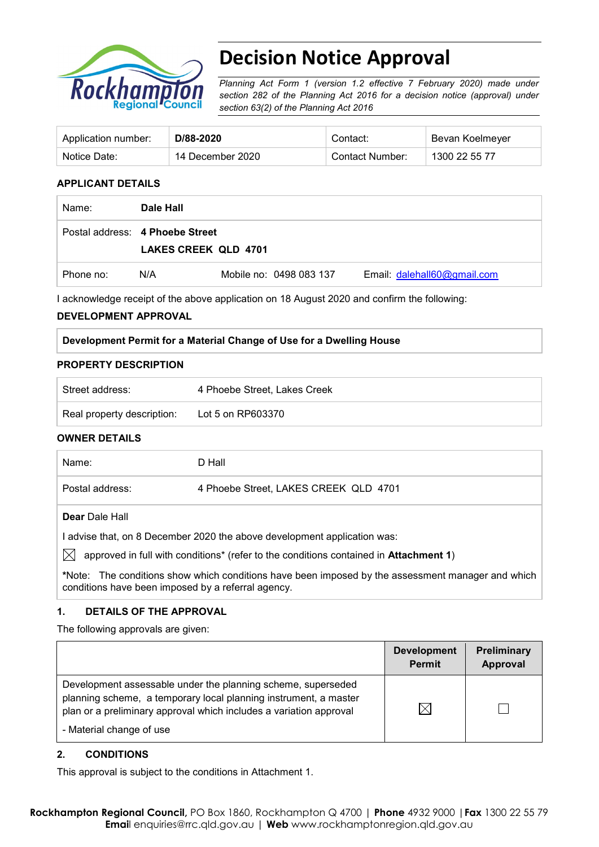

# **Decision Notice Approval**

*Planning Act Form 1 (version 1.2 effective 7 February 2020) made under section 282 of the Planning Act 2016 for a decision notice (approval) under section 63(2) of the Planning Act 2016*

| Application number: | D/88-2020        | Contact:        | Bevan Koelmeyer |
|---------------------|------------------|-----------------|-----------------|
| Notice Date:        | 14 December 2020 | Contact Number: | 1300 22 55 77   |

### **APPLICANT DETAILS**

| Name:     | Dale Hall                                                      |                         |                             |
|-----------|----------------------------------------------------------------|-------------------------|-----------------------------|
|           | Postal address: 4 Phoebe Street<br><b>LAKES CREEK QLD 4701</b> |                         |                             |
| Phone no: | N/A                                                            | Mobile no: 0498 083 137 | Email: dalehall60@gmail.com |

I acknowledge receipt of the above application on 18 August 2020 and confirm the following:

#### **DEVELOPMENT APPROVAL**

#### **Development Permit for a Material Change of Use for a Dwelling House**

#### **PROPERTY DESCRIPTION**

| Street address:            | 4 Phoebe Street, Lakes Creek |
|----------------------------|------------------------------|
| Real property description: | Lot 5 on RP603370            |

#### **OWNER DETAILS**

| Name:                                                                                        | D Hall                                |  |  |  |
|----------------------------------------------------------------------------------------------|---------------------------------------|--|--|--|
| Postal address:                                                                              | 4 Phoebe Street, LAKES CREEK QLD 4701 |  |  |  |
| <b>Dear</b> Dale Hall                                                                        |                                       |  |  |  |
| advise that, on 8 December 2020 the above development application was:                       |                                       |  |  |  |
| approved in full with conditions* (refer to the conditions contained in <b>Attachment 1)</b> |                                       |  |  |  |

**\***Note:The conditions show which conditions have been imposed by the assessment manager and which conditions have been imposed by a referral agency.

# **1. DETAILS OF THE APPROVAL**

The following approvals are given:

|                                                                                                                                                                                                                                    | <b>Development</b><br><b>Permit</b> | Preliminary<br>Approval |
|------------------------------------------------------------------------------------------------------------------------------------------------------------------------------------------------------------------------------------|-------------------------------------|-------------------------|
| Development assessable under the planning scheme, superseded<br>planning scheme, a temporary local planning instrument, a master<br>plan or a preliminary approval which includes a variation approval<br>- Material change of use |                                     |                         |

#### **2. CONDITIONS**

This approval is subject to the conditions in Attachment 1.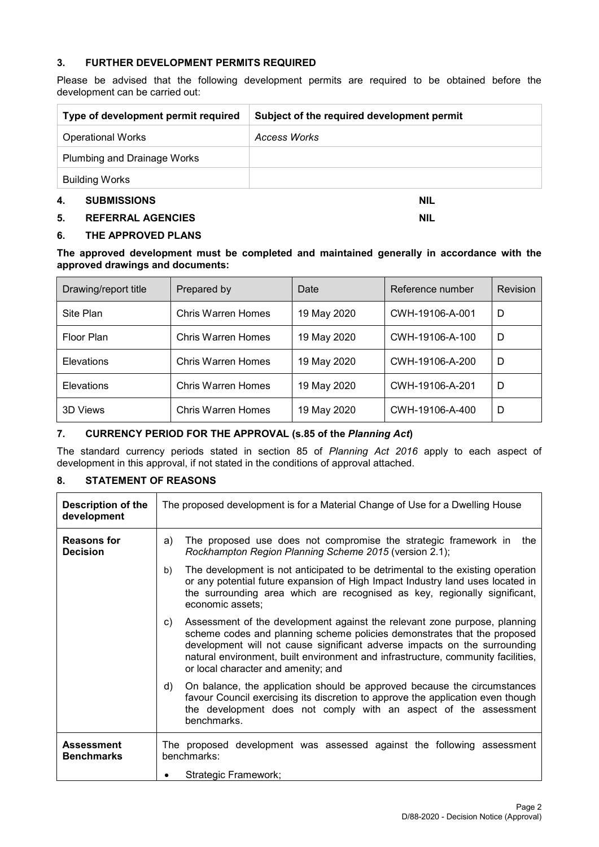#### **3. FURTHER DEVELOPMENT PERMITS REQUIRED**

Please be advised that the following development permits are required to be obtained before the development can be carried out:

| Type of development permit required | Subject of the required development permit |
|-------------------------------------|--------------------------------------------|
| <b>Operational Works</b>            | Access Works                               |
| Plumbing and Drainage Works         |                                            |
| <b>Building Works</b>               |                                            |
| 4.<br><b>SUBMISSIONS</b>            | <b>NIL</b>                                 |

#### **5. REFERRAL AGENCIES NIL**

#### **6. THE APPROVED PLANS**

#### **The approved development must be completed and maintained generally in accordance with the approved drawings and documents:**

| Drawing/report title | Prepared by               | Date        | Reference number | Revision |
|----------------------|---------------------------|-------------|------------------|----------|
| Site Plan            | <b>Chris Warren Homes</b> | 19 May 2020 | CWH-19106-A-001  | D        |
| Floor Plan           | Chris Warren Homes        | 19 May 2020 | CWH-19106-A-100  | D        |
| Elevations           | <b>Chris Warren Homes</b> | 19 May 2020 | CWH-19106-A-200  | D        |
| Elevations           | <b>Chris Warren Homes</b> | 19 May 2020 | CWH-19106-A-201  | D        |
| 3D Views             | Chris Warren Homes        | 19 May 2020 | CWH-19106-A-400  | D        |

# **7. CURRENCY PERIOD FOR THE APPROVAL (s.85 of the** *Planning Act***)**

The standard currency periods stated in section 85 of *Planning Act 2016* apply to each aspect of development in this approval, if not stated in the conditions of approval attached.

#### **8. STATEMENT OF REASONS**

| <b>Description of the</b><br>development | The proposed development is for a Material Change of Use for a Dwelling House                                                                                                                                                                                                                                                                                       |  |  |  |
|------------------------------------------|---------------------------------------------------------------------------------------------------------------------------------------------------------------------------------------------------------------------------------------------------------------------------------------------------------------------------------------------------------------------|--|--|--|
| Reasons for<br><b>Decision</b>           | The proposed use does not compromise the strategic framework in<br>a)<br>the<br>Rockhampton Region Planning Scheme 2015 (version 2.1);                                                                                                                                                                                                                              |  |  |  |
|                                          | The development is not anticipated to be detrimental to the existing operation<br>b)<br>or any potential future expansion of High Impact Industry land uses located in<br>the surrounding area which are recognised as key, regionally significant,<br>economic assets;                                                                                             |  |  |  |
|                                          | Assessment of the development against the relevant zone purpose, planning<br>C)<br>scheme codes and planning scheme policies demonstrates that the proposed<br>development will not cause significant adverse impacts on the surrounding<br>natural environment, built environment and infrastructure, community facilities,<br>or local character and amenity; and |  |  |  |
|                                          | On balance, the application should be approved because the circumstances<br>d)<br>favour Council exercising its discretion to approve the application even though<br>the development does not comply with an aspect of the assessment<br>benchmarks.                                                                                                                |  |  |  |
| <b>Assessment</b><br><b>Benchmarks</b>   | The proposed development was assessed against the following assessment<br>benchmarks:                                                                                                                                                                                                                                                                               |  |  |  |
|                                          | Strategic Framework;                                                                                                                                                                                                                                                                                                                                                |  |  |  |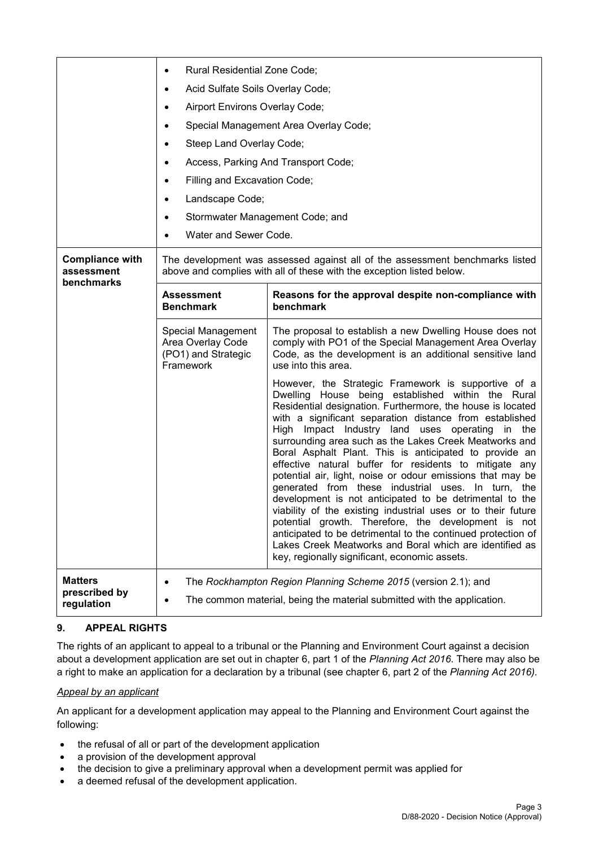|                                                    | Rural Residential Zone Code;<br>$\bullet$<br>Acid Sulfate Soils Overlay Code;<br>٠<br>Airport Environs Overlay Code;<br>٠<br>Special Management Area Overlay Code;<br>٠<br>Steep Land Overlay Code;<br>$\bullet$<br>Access, Parking And Transport Code;<br>$\bullet$<br>Filling and Excavation Code;<br>٠ |                                                                                                                                                                                                                                                                                                                                                                                                                                                                                                                                                                                                                                                                                                                                                                                                                                                                                                                                                      |  |  |
|----------------------------------------------------|-----------------------------------------------------------------------------------------------------------------------------------------------------------------------------------------------------------------------------------------------------------------------------------------------------------|------------------------------------------------------------------------------------------------------------------------------------------------------------------------------------------------------------------------------------------------------------------------------------------------------------------------------------------------------------------------------------------------------------------------------------------------------------------------------------------------------------------------------------------------------------------------------------------------------------------------------------------------------------------------------------------------------------------------------------------------------------------------------------------------------------------------------------------------------------------------------------------------------------------------------------------------------|--|--|
|                                                    | Landscape Code;<br>$\bullet$<br>Stormwater Management Code; and<br>٠<br>Water and Sewer Code.<br>$\bullet$                                                                                                                                                                                                |                                                                                                                                                                                                                                                                                                                                                                                                                                                                                                                                                                                                                                                                                                                                                                                                                                                                                                                                                      |  |  |
| <b>Compliance with</b><br>assessment<br>benchmarks | The development was assessed against all of the assessment benchmarks listed<br>above and complies with all of these with the exception listed below.                                                                                                                                                     |                                                                                                                                                                                                                                                                                                                                                                                                                                                                                                                                                                                                                                                                                                                                                                                                                                                                                                                                                      |  |  |
|                                                    | <b>Assessment</b><br><b>Benchmark</b>                                                                                                                                                                                                                                                                     | Reasons for the approval despite non-compliance with<br>benchmark                                                                                                                                                                                                                                                                                                                                                                                                                                                                                                                                                                                                                                                                                                                                                                                                                                                                                    |  |  |
|                                                    | Special Management<br>Area Overlay Code<br>(PO1) and Strategic<br>Framework                                                                                                                                                                                                                               | The proposal to establish a new Dwelling House does not<br>comply with PO1 of the Special Management Area Overlay<br>Code, as the development is an additional sensitive land<br>use into this area.                                                                                                                                                                                                                                                                                                                                                                                                                                                                                                                                                                                                                                                                                                                                                 |  |  |
|                                                    |                                                                                                                                                                                                                                                                                                           | However, the Strategic Framework is supportive of a<br>Dwelling House being established within the Rural<br>Residential designation. Furthermore, the house is located<br>with a significant separation distance from established<br>High Impact Industry land uses operating in the<br>surrounding area such as the Lakes Creek Meatworks and<br>Boral Asphalt Plant. This is anticipated to provide an<br>effective natural buffer for residents to mitigate any<br>potential air, light, noise or odour emissions that may be<br>generated from these industrial uses. In turn, the<br>development is not anticipated to be detrimental to the<br>viability of the existing industrial uses or to their future<br>potential growth. Therefore, the development is not<br>anticipated to be detrimental to the continued protection of<br>Lakes Creek Meatworks and Boral which are identified as<br>key, regionally significant, economic assets. |  |  |
| <b>Matters</b><br>prescribed by<br>regulation      | ٠                                                                                                                                                                                                                                                                                                         | The Rockhampton Region Planning Scheme 2015 (version 2.1); and<br>The common material, being the material submitted with the application.                                                                                                                                                                                                                                                                                                                                                                                                                                                                                                                                                                                                                                                                                                                                                                                                            |  |  |

# **9. APPEAL RIGHTS**

The rights of an applicant to appeal to a tribunal or the Planning and Environment Court against a decision about a development application are set out in chapter 6, part 1 of the *Planning Act 2016*. There may also be a right to make an application for a declaration by a tribunal (see chapter 6, part 2 of the *Planning Act 2016).*

#### *Appeal by an applicant*

An applicant for a development application may appeal to the Planning and Environment Court against the following:

- the refusal of all or part of the development application
- a provision of the development approval
- the decision to give a preliminary approval when a development permit was applied for
- a deemed refusal of the development application.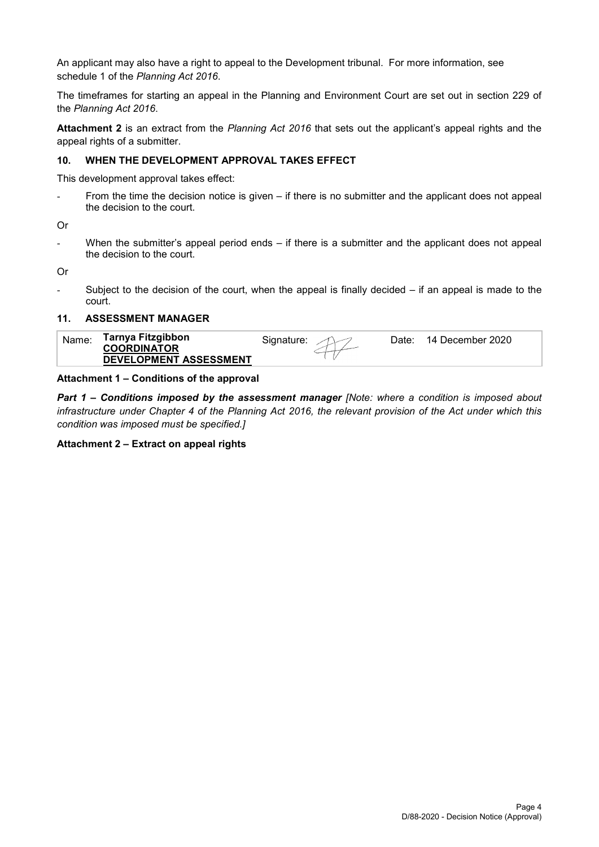An applicant may also have a right to appeal to the Development tribunal. For more information, see schedule 1 of the *Planning Act 2016*.

The timeframes for starting an appeal in the Planning and Environment Court are set out in section 229 of the *Planning Act 2016*.

**Attachment 2** is an extract from the *Planning Act 2016* that sets out the applicant's appeal rights and the appeal rights of a submitter.

#### **10. WHEN THE DEVELOPMENT APPROVAL TAKES EFFECT**

This development approval takes effect:

- From the time the decision notice is given – if there is no submitter and the applicant does not appeal the decision to the court.

Or

When the submitter's appeal period ends  $-$  if there is a submitter and the applicant does not appeal the decision to the court.

Or

Subject to the decision of the court, when the appeal is finally decided  $-$  if an appeal is made to the court.

#### **11. ASSESSMENT MANAGER**

| Tarnya Fitzgibbon<br>Name.<br>14 December 2020<br>Date:<br>Sidnature:<br><b>COORDINATOR</b><br><b>DEVELOPMENT ASSESSMENT</b> |  |
|------------------------------------------------------------------------------------------------------------------------------|--|
|------------------------------------------------------------------------------------------------------------------------------|--|

#### **Attachment 1 – Conditions of the approval**

*Part 1* **–** *Conditions imposed by the assessment manager [Note: where a condition is imposed about infrastructure under Chapter 4 of the Planning Act 2016, the relevant provision of the Act under which this condition was imposed must be specified.]*

#### **Attachment 2 – Extract on appeal rights**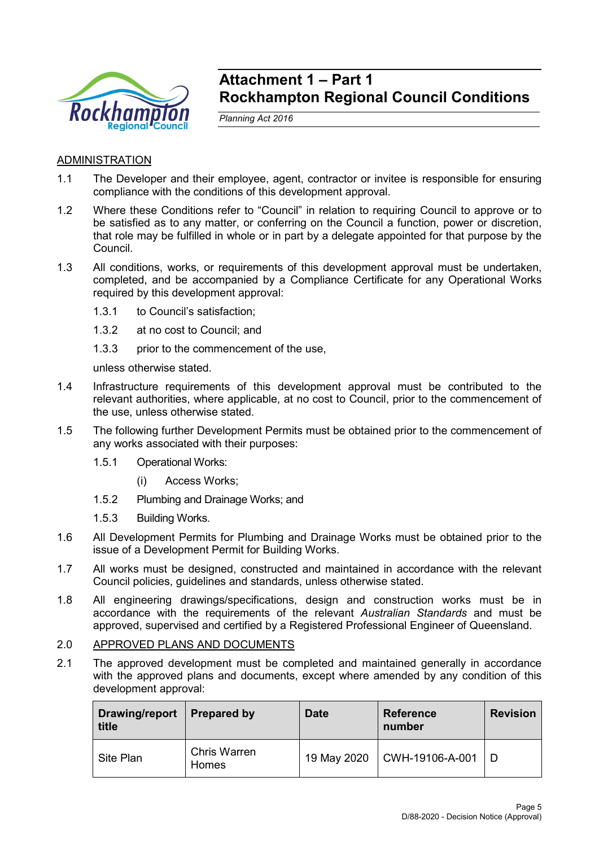

# **Attachment 1 – Part 1 Rockhampton Regional Council Conditions**

*Planning Act 2016*

# ADMINISTRATION

- 1.1 The Developer and their employee, agent, contractor or invitee is responsible for ensuring compliance with the conditions of this development approval.
- 1.2 Where these Conditions refer to "Council" in relation to requiring Council to approve or to be satisfied as to any matter, or conferring on the Council a function, power or discretion, that role may be fulfilled in whole or in part by a delegate appointed for that purpose by the Council.
- 1.3 All conditions, works, or requirements of this development approval must be undertaken, completed, and be accompanied by a Compliance Certificate for any Operational Works required by this development approval:
	- 1.3.1 to Council's satisfaction;
	- 1.3.2 at no cost to Council; and
	- 1.3.3 prior to the commencement of the use,

unless otherwise stated.

- 1.4 Infrastructure requirements of this development approval must be contributed to the relevant authorities, where applicable, at no cost to Council, prior to the commencement of the use, unless otherwise stated.
- 1.5 The following further Development Permits must be obtained prior to the commencement of any works associated with their purposes:
	- 1.5.1 Operational Works:
		- (i) Access Works;
	- 1.5.2 Plumbing and Drainage Works; and
	- 1.5.3 Building Works.
- 1.6 All Development Permits for Plumbing and Drainage Works must be obtained prior to the issue of a Development Permit for Building Works.
- 1.7 All works must be designed, constructed and maintained in accordance with the relevant Council policies, guidelines and standards, unless otherwise stated.
- 1.8 All engineering drawings/specifications, design and construction works must be in accordance with the requirements of the relevant *Australian Standards* and must be approved, supervised and certified by a Registered Professional Engineer of Queensland.

### 2.0 APPROVED PLANS AND DOCUMENTS

2.1 The approved development must be completed and maintained generally in accordance with the approved plans and documents, except where amended by any condition of this development approval:

| Drawing/report<br>title | <b>Prepared by</b>           | <b>Date</b> | <b>Reference</b><br>number | <b>Revision</b> |
|-------------------------|------------------------------|-------------|----------------------------|-----------------|
| Site Plan               | <b>Chris Warren</b><br>Homes | 19 May 2020 | CWH-19106-A-001            |                 |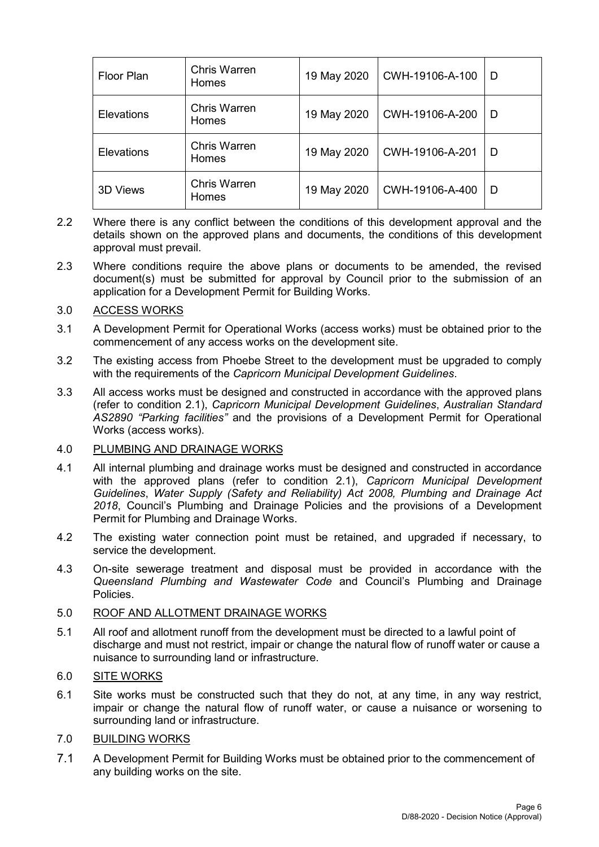| <b>Floor Plan</b> | <b>Chris Warren</b><br>Homes | 19 May 2020 | CWH-19106-A-100 | D |
|-------------------|------------------------------|-------------|-----------------|---|
| <b>Elevations</b> | <b>Chris Warren</b><br>Homes | 19 May 2020 | CWH-19106-A-200 | D |
| <b>Elevations</b> | <b>Chris Warren</b><br>Homes | 19 May 2020 | CWH-19106-A-201 | D |
| <b>3D Views</b>   | <b>Chris Warren</b><br>Homes | 19 May 2020 | CWH-19106-A-400 | D |

- 2.2 Where there is any conflict between the conditions of this development approval and the details shown on the approved plans and documents, the conditions of this development approval must prevail.
- 2.3 Where conditions require the above plans or documents to be amended, the revised document(s) must be submitted for approval by Council prior to the submission of an application for a Development Permit for Building Works.

# 3.0 ACCESS WORKS

- 3.1 A Development Permit for Operational Works (access works) must be obtained prior to the commencement of any access works on the development site.
- 3.2 The existing access from Phoebe Street to the development must be upgraded to comply with the requirements of the *Capricorn Municipal Development Guidelines*.
- 3.3 All access works must be designed and constructed in accordance with the approved plans (refer to condition 2.1), *Capricorn Municipal Development Guidelines*, *Australian Standard AS2890 "Parking facilities"* and the provisions of a Development Permit for Operational Works (access works).

# 4.0 PLUMBING AND DRAINAGE WORKS

- 4.1 All internal plumbing and drainage works must be designed and constructed in accordance with the approved plans (refer to condition 2.1), *Capricorn Municipal Development Guidelines*, *Water Supply (Safety and Reliability) Act 2008, Plumbing and Drainage Act 2018*, Council's Plumbing and Drainage Policies and the provisions of a Development Permit for Plumbing and Drainage Works.
- 4.2 The existing water connection point must be retained, and upgraded if necessary, to service the development.
- 4.3 On-site sewerage treatment and disposal must be provided in accordance with the *Queensland Plumbing and Wastewater Code* and Council's Plumbing and Drainage Policies.

# 5.0 ROOF AND ALLOTMENT DRAINAGE WORKS

5.1 All roof and allotment runoff from the development must be directed to a lawful point of discharge and must not restrict, impair or change the natural flow of runoff water or cause a nuisance to surrounding land or infrastructure.

# 6.0 SITE WORKS

6.1 Site works must be constructed such that they do not, at any time, in any way restrict, impair or change the natural flow of runoff water, or cause a nuisance or worsening to surrounding land or infrastructure.

# 7.0 BUILDING WORKS

7.1 A Development Permit for Building Works must be obtained prior to the commencement of any building works on the site.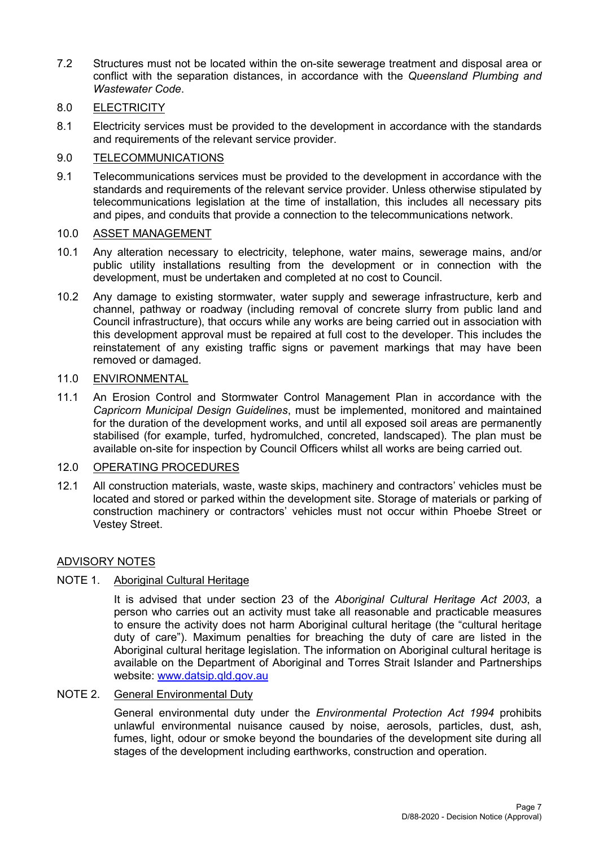7.2 Structures must not be located within the on-site sewerage treatment and disposal area or conflict with the separation distances, in accordance with the *Queensland Plumbing and Wastewater Code*.

# 8.0 ELECTRICITY

8.1 Electricity services must be provided to the development in accordance with the standards and requirements of the relevant service provider.

# 9.0 TELECOMMUNICATIONS

9.1 Telecommunications services must be provided to the development in accordance with the standards and requirements of the relevant service provider. Unless otherwise stipulated by telecommunications legislation at the time of installation, this includes all necessary pits and pipes, and conduits that provide a connection to the telecommunications network.

# 10.0 ASSET MANAGEMENT

- 10.1 Any alteration necessary to electricity, telephone, water mains, sewerage mains, and/or public utility installations resulting from the development or in connection with the development, must be undertaken and completed at no cost to Council.
- 10.2 Any damage to existing stormwater, water supply and sewerage infrastructure, kerb and channel, pathway or roadway (including removal of concrete slurry from public land and Council infrastructure), that occurs while any works are being carried out in association with this development approval must be repaired at full cost to the developer. This includes the reinstatement of any existing traffic signs or pavement markings that may have been removed or damaged.

# 11.0 ENVIRONMENTAL

11.1 An Erosion Control and Stormwater Control Management Plan in accordance with the *Capricorn Municipal Design Guidelines*, must be implemented, monitored and maintained for the duration of the development works, and until all exposed soil areas are permanently stabilised (for example, turfed, hydromulched, concreted, landscaped). The plan must be available on-site for inspection by Council Officers whilst all works are being carried out.

# 12.0 OPERATING PROCEDURES

12.1 All construction materials, waste, waste skips, machinery and contractors' vehicles must be located and stored or parked within the development site. Storage of materials or parking of construction machinery or contractors' vehicles must not occur within Phoebe Street or Vestey Street.

# ADVISORY NOTES

# NOTE 1. Aboriginal Cultural Heritage

It is advised that under section 23 of the *Aboriginal Cultural Heritage Act 2003*, a person who carries out an activity must take all reasonable and practicable measures to ensure the activity does not harm Aboriginal cultural heritage (the "cultural heritage duty of care"). Maximum penalties for breaching the duty of care are listed in the Aboriginal cultural heritage legislation. The information on Aboriginal cultural heritage is available on the Department of Aboriginal and Torres Strait Islander and Partnerships website: [www.datsip.qld.gov.au](http://www.datsip.qld.gov.au/)

# NOTE 2. General Environmental Duty

General environmental duty under the *Environmental Protection Act 1994* prohibits unlawful environmental nuisance caused by noise, aerosols, particles, dust, ash, fumes, light, odour or smoke beyond the boundaries of the development site during all stages of the development including earthworks, construction and operation.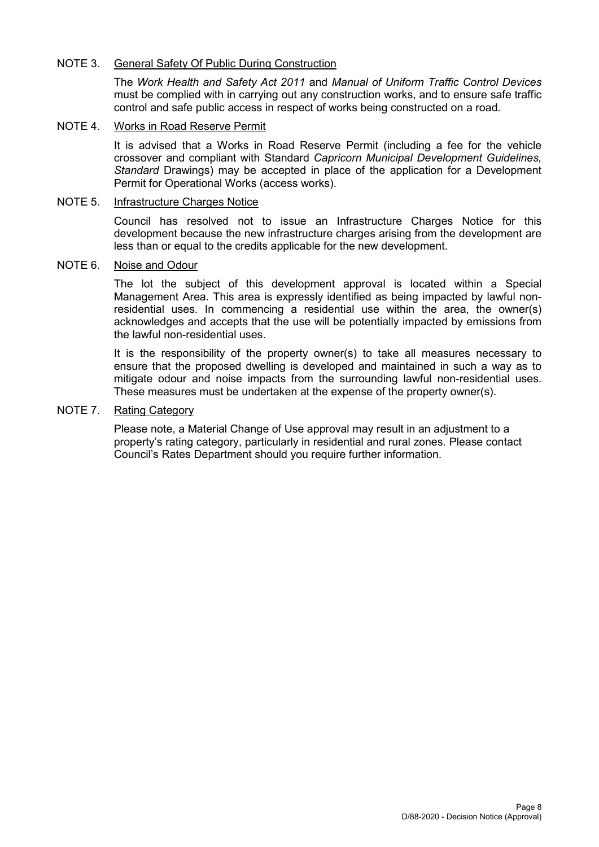# NOTE 3. General Safety Of Public During Construction

The *Work Health and Safety Act 2011* and *Manual of Uniform Traffic Control Devices* must be complied with in carrying out any construction works, and to ensure safe traffic control and safe public access in respect of works being constructed on a road.

# NOTE 4. Works in Road Reserve Permit

It is advised that a Works in Road Reserve Permit (including a fee for the vehicle crossover and compliant with Standard *Capricorn Municipal Development Guidelines, Standard* Drawings) may be accepted in place of the application for a Development Permit for Operational Works (access works).

### NOTE 5. Infrastructure Charges Notice

Council has resolved not to issue an Infrastructure Charges Notice for this development because the new infrastructure charges arising from the development are less than or equal to the credits applicable for the new development.

### NOTE 6. Noise and Odour

The lot the subject of this development approval is located within a Special Management Area. This area is expressly identified as being impacted by lawful nonresidential uses. In commencing a residential use within the area, the owner(s) acknowledges and accepts that the use will be potentially impacted by emissions from the lawful non-residential uses.

It is the responsibility of the property owner(s) to take all measures necessary to ensure that the proposed dwelling is developed and maintained in such a way as to mitigate odour and noise impacts from the surrounding lawful non-residential uses. These measures must be undertaken at the expense of the property owner(s).

### NOTE 7. Rating Category

Please note, a Material Change of Use approval may result in an adjustment to a property's rating category, particularly in residential and rural zones. Please contact Council's Rates Department should you require further information.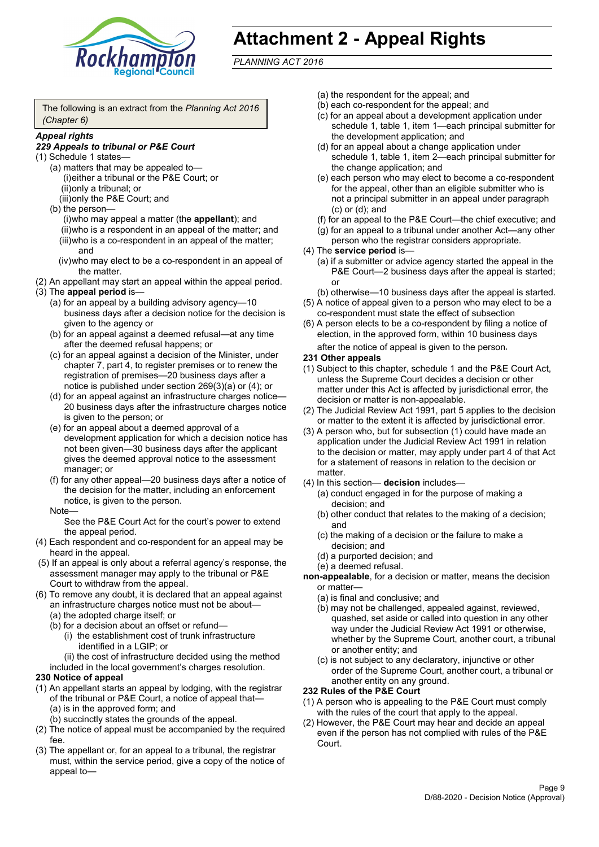

# **Attachment 2 - Appeal Rights**

*PLANNING ACT 2016*

The following is an extract from the *Planning Act 2016 (Chapter 6)*

#### *Appeal rights*

### *229 Appeals to tribunal or P&E Court*

- (1) Schedule 1 states—
	- (a) matters that may be appealed to— (i)either a tribunal or the P&E Court; or (ii)only a tribunal; or (iii)only the P&E Court; and
	- (b) the person—

(i)who may appeal a matter (the **appellant**); and (ii)who is a respondent in an appeal of the matter; and (iii)who is a co-respondent in an appeal of the matter; and

- (iv)who may elect to be a co-respondent in an appeal of the matter.
- (2) An appellant may start an appeal within the appeal period.
- (3) The **appeal period** is—
	- (a) for an appeal by a building advisory agency—10 business days after a decision notice for the decision is given to the agency or
	- (b) for an appeal against a deemed refusal—at any time after the deemed refusal happens; or
	- (c) for an appeal against a decision of the Minister, under chapter 7, part 4, to register premises or to renew the registration of premises—20 business days after a notice is published under section 269(3)(a) or (4); or
	- (d) for an appeal against an infrastructure charges notice— 20 business days after the infrastructure charges notice is given to the person; or
	- (e) for an appeal about a deemed approval of a development application for which a decision notice has not been given—30 business days after the applicant gives the deemed approval notice to the assessment manager; or
	- (f) for any other appeal—20 business days after a notice of the decision for the matter, including an enforcement notice, is given to the person.

#### Note—

See the P&E Court Act for the court's power to extend the appeal period.

- (4) Each respondent and co-respondent for an appeal may be heard in the appeal.
- (5) If an appeal is only about a referral agency's response, the assessment manager may apply to the tribunal or P&E Court to withdraw from the appeal.
- (6) To remove any doubt, it is declared that an appeal against an infrastructure charges notice must not be about—
	- (a) the adopted charge itself; or
	- (b) for a decision about an offset or refund—
		- (i) the establishment cost of trunk infrastructure identified in a LGIP; or
		- (ii) the cost of infrastructure decided using the method

included in the local government's charges resolution.

#### **230 Notice of appeal**

- (1) An appellant starts an appeal by lodging, with the registrar of the tribunal or P&E Court, a notice of appeal that—
	- (a) is in the approved form; and
	- (b) succinctly states the grounds of the appeal.
- (2) The notice of appeal must be accompanied by the required fee.
- (3) The appellant or, for an appeal to a tribunal, the registrar must, within the service period, give a copy of the notice of appeal to—
- (a) the respondent for the appeal; and
- (b) each co-respondent for the appeal; and
- (c) for an appeal about a development application under schedule 1, table 1, item 1—each principal submitter for the development application; and
- (d) for an appeal about a change application under schedule 1, table 1, item 2—each principal submitter for the change application; and
- (e) each person who may elect to become a co-respondent for the appeal, other than an eligible submitter who is not a principal submitter in an appeal under paragraph (c) or (d); and
- (f) for an appeal to the P&E Court—the chief executive; and
- (g) for an appeal to a tribunal under another Act—any other person who the registrar considers appropriate.
- (4) The **service period** is—
	- (a) if a submitter or advice agency started the appeal in the P&E Court—2 business days after the appeal is started; or
	- (b) otherwise—10 business days after the appeal is started.
- (5) A notice of appeal given to a person who may elect to be a co-respondent must state the effect of subsection
- (6) A person elects to be a co-respondent by filing a notice of election, in the approved form, within 10 business days after the notice of appeal is given to the person*.*
- **231 Other appeals**
- (1) Subject to this chapter, schedule 1 and the P&E Court Act, unless the Supreme Court decides a decision or other matter under this Act is affected by jurisdictional error, the decision or matter is non-appealable.
- (2) The Judicial Review Act 1991, part 5 applies to the decision or matter to the extent it is affected by jurisdictional error.
- (3) A person who, but for subsection (1) could have made an application under the Judicial Review Act 1991 in relation to the decision or matter, may apply under part 4 of that Act for a statement of reasons in relation to the decision or matter.
- (4) In this section— **decision** includes—
	- (a) conduct engaged in for the purpose of making a decision; and
	- (b) other conduct that relates to the making of a decision; and
	- (c) the making of a decision or the failure to make a decision; and
	- (d) a purported decision; and
	- (e) a deemed refusal.

**non-appealable**, for a decision or matter, means the decision or matter—

- (a) is final and conclusive; and
- (b) may not be challenged, appealed against, reviewed, quashed, set aside or called into question in any other way under the Judicial Review Act 1991 or otherwise, whether by the Supreme Court, another court, a tribunal or another entity; and
- (c) is not subject to any declaratory, injunctive or other order of the Supreme Court, another court, a tribunal or another entity on any ground.

#### **232 Rules of the P&E Court**

- (1) A person who is appealing to the P&E Court must comply with the rules of the court that apply to the appeal.
- (2) However, the P&E Court may hear and decide an appeal even if the person has not complied with rules of the P&E Court.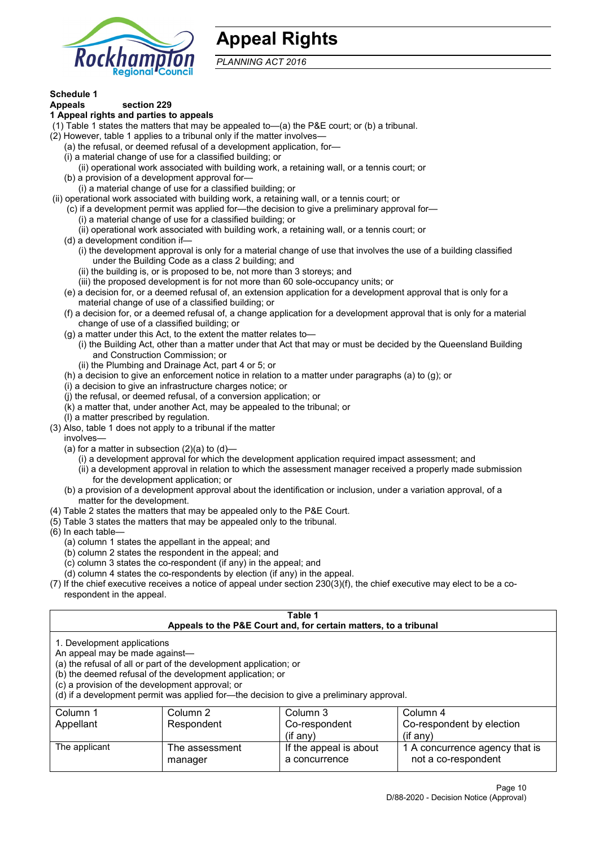

# **Appeal Rights**

*PLANNING ACT 2016*

# **Schedule 1**

#### **Appeals section 229 1 Appeal rights and parties to appeals**

- (1) Table 1 states the matters that may be appealed to—(a) the P&E court; or (b) a tribunal.
- (2) However, table 1 applies to a tribunal only if the matter involves—
	- (a) the refusal, or deemed refusal of a development application, for—
	- (i) a material change of use for a classified building; or
	- (ii) operational work associated with building work, a retaining wall, or a tennis court; or
	- (b) a provision of a development approval for—
	- (i) a material change of use for a classified building; or
- (ii) operational work associated with building work, a retaining wall, or a tennis court; or
	- (c) if a development permit was applied for—the decision to give a preliminary approval for—
		- (i) a material change of use for a classified building; or
		- (ii) operational work associated with building work, a retaining wall, or a tennis court; or
	- (d) a development condition if—
		- (i) the development approval is only for a material change of use that involves the use of a building classified under the Building Code as a class 2 building; and
		- (ii) the building is, or is proposed to be, not more than 3 storeys; and
		- (iii) the proposed development is for not more than 60 sole-occupancy units; or
	- (e) a decision for, or a deemed refusal of, an extension application for a development approval that is only for a material change of use of a classified building; or
	- (f) a decision for, or a deemed refusal of, a change application for a development approval that is only for a material change of use of a classified building; or
	- (g) a matter under this Act, to the extent the matter relates to—
		- (i) the Building Act, other than a matter under that Act that may or must be decided by the Queensland Building and Construction Commission; or
		- (ii) the Plumbing and Drainage Act, part 4 or 5; or
	- (h) a decision to give an enforcement notice in relation to a matter under paragraphs (a) to (g); or
	- (i) a decision to give an infrastructure charges notice; or
	- (j) the refusal, or deemed refusal, of a conversion application; or
	- (k) a matter that, under another Act, may be appealed to the tribunal; or
	- (l) a matter prescribed by regulation.
- (3) Also, table 1 does not apply to a tribunal if the matter

involves—

- (a) for a matter in subsection  $(2)(a)$  to  $(d)$ 
	- (i) a development approval for which the development application required impact assessment; and
	- (ii) a development approval in relation to which the assessment manager received a properly made submission for the development application; or
- (b) a provision of a development approval about the identification or inclusion, under a variation approval, of a matter for the development.
- (4) Table 2 states the matters that may be appealed only to the P&E Court.
- (5) Table 3 states the matters that may be appealed only to the tribunal.
- (6) In each table—
	- (a) column 1 states the appellant in the appeal; and
	- (b) column 2 states the respondent in the appeal; and
	- (c) column 3 states the co-respondent (if any) in the appeal; and
	- (d) column 4 states the co-respondents by election (if any) in the appeal.
- (7) If the chief executive receives a notice of appeal under section 230(3)(f), the chief executive may elect to be a corespondent in the appeal.

| Table 1                                                                                                                                                                                                                                                             |                                  |                                         |                                                       |  |  |
|---------------------------------------------------------------------------------------------------------------------------------------------------------------------------------------------------------------------------------------------------------------------|----------------------------------|-----------------------------------------|-------------------------------------------------------|--|--|
| Appeals to the P&E Court and, for certain matters, to a tribunal<br>1. Development applications<br>An appeal may be made against-<br>(a) the refusal of all or part of the development application; or<br>(b) the deemed refusal of the development application; or |                                  |                                         |                                                       |  |  |
| (c) a provision of the development approval; or<br>(d) if a development permit was applied for—the decision to give a preliminary approval.                                                                                                                         |                                  |                                         |                                                       |  |  |
| Column 1                                                                                                                                                                                                                                                            | Column 3<br>Column 2<br>Column 4 |                                         |                                                       |  |  |
| Respondent<br>Co-respondent by election<br>Appellant<br>Co-respondent                                                                                                                                                                                               |                                  |                                         |                                                       |  |  |
| $(if$ any)<br>$(i$ f any)                                                                                                                                                                                                                                           |                                  |                                         |                                                       |  |  |
| The applicant                                                                                                                                                                                                                                                       | The assessment<br>manager        | If the appeal is about<br>a concurrence | 1 A concurrence agency that is<br>not a co-respondent |  |  |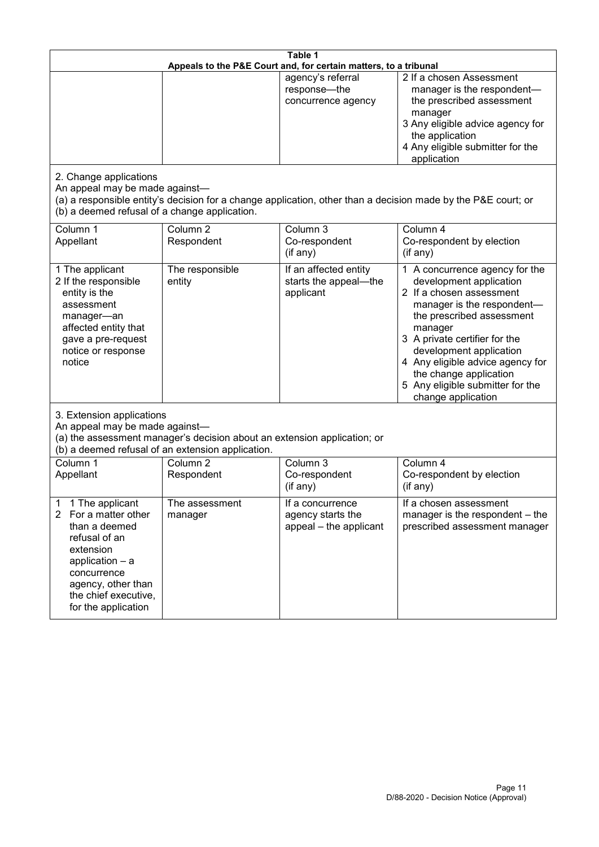| Table 1<br>Appeals to the P&E Court and, for certain matters, to a tribunal                                                                                                                           |                                   |                                                                 |                                                                                                                                                                                                                                                                                                                                                 |  |
|-------------------------------------------------------------------------------------------------------------------------------------------------------------------------------------------------------|-----------------------------------|-----------------------------------------------------------------|-------------------------------------------------------------------------------------------------------------------------------------------------------------------------------------------------------------------------------------------------------------------------------------------------------------------------------------------------|--|
|                                                                                                                                                                                                       |                                   | agency's referral<br>response-the<br>concurrence agency         | 2 If a chosen Assessment<br>manager is the respondent-<br>the prescribed assessment<br>manager<br>3 Any eligible advice agency for<br>the application<br>4 Any eligible submitter for the<br>application                                                                                                                                        |  |
| 2. Change applications<br>An appeal may be made against-<br>(b) a deemed refusal of a change application.                                                                                             |                                   |                                                                 | (a) a responsible entity's decision for a change application, other than a decision made by the P&E court; or                                                                                                                                                                                                                                   |  |
| Column 1<br>Appellant                                                                                                                                                                                 | Column <sub>2</sub><br>Respondent | Column 3<br>Co-respondent<br>(if any)                           | Column 4<br>Co-respondent by election<br>(if any)                                                                                                                                                                                                                                                                                               |  |
| 1 The applicant<br>2 If the responsible<br>entity is the<br>assessment<br>manager-an<br>affected entity that<br>gave a pre-request<br>notice or response<br>notice                                    | The responsible<br>entity         | If an affected entity<br>starts the appeal-the<br>applicant     | 1 A concurrence agency for the<br>development application<br>2 If a chosen assessment<br>manager is the respondent-<br>the prescribed assessment<br>manager<br>3 A private certifier for the<br>development application<br>4 Any eligible advice agency for<br>the change application<br>5 Any eligible submitter for the<br>change application |  |
| 3. Extension applications<br>An appeal may be made against-<br>(a) the assessment manager's decision about an extension application; or<br>(b) a deemed refusal of an extension application.          |                                   |                                                                 |                                                                                                                                                                                                                                                                                                                                                 |  |
| Column 1<br>Appellant                                                                                                                                                                                 | Column <sub>2</sub><br>Respondent | Column 3<br>Co-respondent<br>(if any)                           | Column 4<br>Co-respondent by election<br>(if any)                                                                                                                                                                                                                                                                                               |  |
| 1 The applicant<br>1<br>2<br>For a matter other<br>than a deemed<br>refusal of an<br>extension<br>application - a<br>concurrence<br>agency, other than<br>the chief executive,<br>for the application | The assessment<br>manager         | If a concurrence<br>agency starts the<br>appeal - the applicant | If a chosen assessment<br>manager is the respondent - the<br>prescribed assessment manager                                                                                                                                                                                                                                                      |  |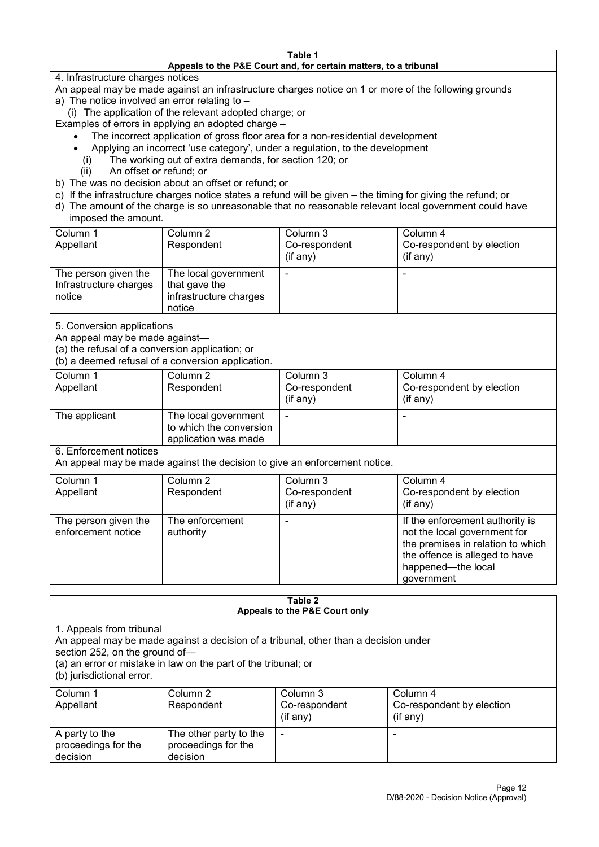#### **Table 1 Appeals to the P&E Court and, for certain matters, to a tribunal**

4. Infrastructure charges notices

- An appeal may be made against an infrastructure charges notice on 1 or more of the following grounds
- a) The notice involved an error relating to
	- (i) The application of the relevant adopted charge; or
- Examples of errors in applying an adopted charge
	- The incorrect application of gross floor area for a non-residential development
	- Applying an incorrect 'use category', under a regulation, to the development
	- (i) The working out of extra demands, for section 120; or
	- (ii) An offset or refund; or
- b) The was no decision about an offset or refund; or
- c) If the infrastructure charges notice states a refund will be given the timing for giving the refund; or
- d) The amount of the charge is so unreasonable that no reasonable relevant local government could have

# imposed the amount.

| Column 1<br>Appellant                                    | Column 2<br>Respondent                                                    | Column 3<br>Co-respondent<br>(if any) | Column 4<br>Co-respondent by election<br>$($ if any $)$ |
|----------------------------------------------------------|---------------------------------------------------------------------------|---------------------------------------|---------------------------------------------------------|
| The person given the<br>Infrastructure charges<br>notice | The local government<br>that gave the<br>infrastructure charges<br>notice |                                       |                                                         |

5. Conversion applications

An appeal may be made against—

(a) the refusal of a conversion application; or

(b) a deemed refusal of a conversion application.

| Column 1<br>Appellant | Column 2<br>Respondent                                                  | Column 3<br>Co-respondent<br>$($ if any $)$ | Column 4<br>Co-respondent by election<br>$($ if any $)$ |
|-----------------------|-------------------------------------------------------------------------|---------------------------------------------|---------------------------------------------------------|
| The applicant         | The local government<br>to which the conversion<br>application was made |                                             | $\overline{\phantom{0}}$                                |

6. Enforcement notices

An appeal may be made against the decision to give an enforcement notice.

| Column 1                                   | Column 2                     | Column 3      | Column 4                                                                                                                                                                   |
|--------------------------------------------|------------------------------|---------------|----------------------------------------------------------------------------------------------------------------------------------------------------------------------------|
| Appellant                                  | Respondent                   | Co-respondent | Co-respondent by election                                                                                                                                                  |
|                                            |                              | (if any)      | $($ if any $)$                                                                                                                                                             |
| The person given the<br>enforcement notice | The enforcement<br>authority |               | If the enforcement authority is<br>not the local government for<br>the premises in relation to which<br>the offence is alleged to have<br>happened-the local<br>government |

#### **Table 2 Appeals to the P&E Court only**

1. Appeals from tribunal

An appeal may be made against a decision of a tribunal, other than a decision under

section 252, on the ground of—

(a) an error or mistake in law on the part of the tribunal; or

(b) jurisdictional error.

| Column 1<br>Appellant                             | Column 2<br>Respondent                                    | Column 3<br>Co-respondent<br>$($ if any $)$ | Column 4<br>Co-respondent by election<br>$($ if any $)$ |
|---------------------------------------------------|-----------------------------------------------------------|---------------------------------------------|---------------------------------------------------------|
| A party to the<br>proceedings for the<br>decision | The other party to the<br>proceedings for the<br>decision | ٠                                           |                                                         |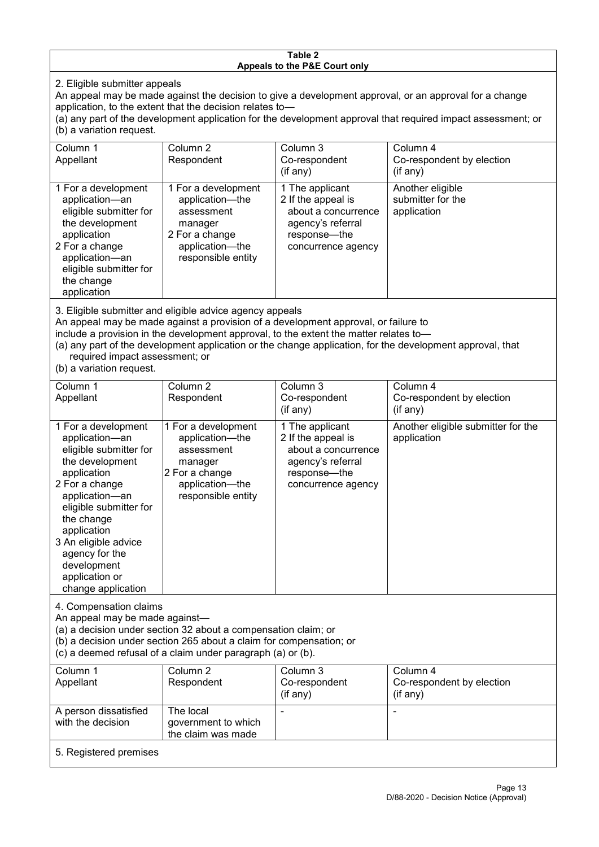#### **Table 2 Appeals to the P&E Court only**

2. Eligible submitter appeals

An appeal may be made against the decision to give a development approval, or an approval for a change application, to the extent that the decision relates to—

(a) any part of the development application for the development approval that required impact assessment; or (b) a variation request.

| Column 1                                                                                                                                                                                                                          | Column 2                                                                                                                   | Column 3                                                                                                                  | Column 4                                             |  |
|-----------------------------------------------------------------------------------------------------------------------------------------------------------------------------------------------------------------------------------|----------------------------------------------------------------------------------------------------------------------------|---------------------------------------------------------------------------------------------------------------------------|------------------------------------------------------|--|
| Appellant                                                                                                                                                                                                                         | Respondent                                                                                                                 | Co-respondent                                                                                                             | Co-respondent by election                            |  |
|                                                                                                                                                                                                                                   |                                                                                                                            | (if any)                                                                                                                  | (if any)                                             |  |
| 1 For a development<br>application-an<br>eligible submitter for<br>the development<br>application<br>2 For a change<br>application-an<br>eligible submitter for<br>the change<br>application                                      | 1 For a development<br>application-the<br>assessment<br>manager<br>2 For a change<br>application-the<br>responsible entity | 1 The applicant<br>2 If the appeal is<br>about a concurrence<br>agency's referral<br>response---the<br>concurrence agency | Another eligible<br>submitter for the<br>application |  |
| $\mathsf{A}$ . Figure 1. The contract of the contract of the contract of the contract of the contract of the contract of the contract of the contract of the contract of the contract of the contract of the contract of the cont |                                                                                                                            |                                                                                                                           |                                                      |  |

3. Eligible submitter and eligible advice agency appeals

An appeal may be made against a provision of a development approval, or failure to

include a provision in the development approval, to the extent the matter relates to—

(a) any part of the development application or the change application, for the development approval, that required impact assessment; or

(b) a variation request.

| Column 1<br>Appellant                                                                                                                                                                                                                                                                         | Column 2<br>Respondent                                                                                                     | Column 3<br>Co-respondent<br>(if any)                                                                                   | Column 4<br>Co-respondent by election<br>(if any) |
|-----------------------------------------------------------------------------------------------------------------------------------------------------------------------------------------------------------------------------------------------------------------------------------------------|----------------------------------------------------------------------------------------------------------------------------|-------------------------------------------------------------------------------------------------------------------------|---------------------------------------------------|
| 1 For a development<br>application-an<br>eligible submitter for<br>the development<br>application<br>2 For a change<br>application-an<br>eligible submitter for<br>the change<br>application<br>3 An eligible advice<br>agency for the<br>development<br>application or<br>change application | 1 For a development<br>application-the<br>assessment<br>manager<br>2 For a change<br>application-the<br>responsible entity | 1 The applicant<br>2 If the appeal is<br>about a concurrence<br>agency's referral<br>response-the<br>concurrence agency | Another eligible submitter for the<br>application |
| 4. Compensation claims<br>An appeal may be made against-<br>(a) a decision under section 32 about a compensation claim; or<br>(b) a decision under section 265 about a claim for compensation; or<br>(c) a deemed refusal of a claim under paragraph (a) or (b).                              |                                                                                                                            |                                                                                                                         |                                                   |
| Column 1<br>Appellant                                                                                                                                                                                                                                                                         | Column 2<br>Respondent                                                                                                     | Column 3<br>Co-respondent<br>(if any)                                                                                   | Column 4<br>Co-respondent by election<br>(if any) |
| A person dissatisfied<br>with the decision                                                                                                                                                                                                                                                    | The local<br>government to which<br>the claim was made                                                                     |                                                                                                                         | $\blacksquare$                                    |
| 5. Registered premises                                                                                                                                                                                                                                                                        |                                                                                                                            |                                                                                                                         |                                                   |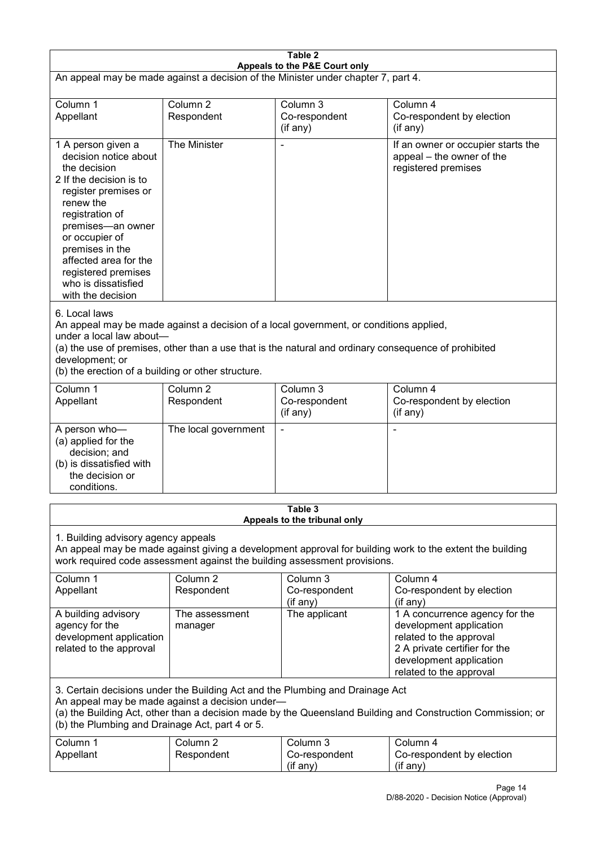| Table 2<br>Appeals to the P&E Court only                                                                                                                                                                                                                                                             |                                   |                                                                                                                                                                                                |                                                                                                                                                                             |  |
|------------------------------------------------------------------------------------------------------------------------------------------------------------------------------------------------------------------------------------------------------------------------------------------------------|-----------------------------------|------------------------------------------------------------------------------------------------------------------------------------------------------------------------------------------------|-----------------------------------------------------------------------------------------------------------------------------------------------------------------------------|--|
| An appeal may be made against a decision of the Minister under chapter 7, part 4.                                                                                                                                                                                                                    |                                   |                                                                                                                                                                                                |                                                                                                                                                                             |  |
| Column 1<br>Appellant                                                                                                                                                                                                                                                                                | Column <sub>2</sub><br>Respondent | Column 3<br>Co-respondent<br>(if any)                                                                                                                                                          | Column 4<br>Co-respondent by election<br>(if any)                                                                                                                           |  |
| 1 A person given a<br>decision notice about<br>the decision<br>2 If the decision is to<br>register premises or<br>renew the<br>registration of<br>premises-an owner<br>or occupier of<br>premises in the<br>affected area for the<br>registered premises<br>who is dissatisfied<br>with the decision | The Minister                      |                                                                                                                                                                                                | If an owner or occupier starts the<br>appeal - the owner of the<br>registered premises                                                                                      |  |
| 6. Local laws<br>under a local law about-<br>development; or<br>(b) the erection of a building or other structure.                                                                                                                                                                                   |                                   | An appeal may be made against a decision of a local government, or conditions applied,<br>(a) the use of premises, other than a use that is the natural and ordinary consequence of prohibited |                                                                                                                                                                             |  |
| Column 1<br>Appellant                                                                                                                                                                                                                                                                                | Column <sub>2</sub><br>Respondent | Column 3<br>Co-respondent<br>(if any)                                                                                                                                                          | Column 4<br>Co-respondent by election<br>(if any)                                                                                                                           |  |
| A person who-<br>(a) applied for the<br>decision; and<br>(b) is dissatisfied with<br>the decision or<br>conditions.                                                                                                                                                                                  | The local government              |                                                                                                                                                                                                | ٠                                                                                                                                                                           |  |
|                                                                                                                                                                                                                                                                                                      |                                   | Table 3<br>Appeals to the tribunal only                                                                                                                                                        |                                                                                                                                                                             |  |
| 1. Building advisory agency appeals<br>An appeal may be made against giving a development approval for building work to the extent the building<br>work required code assessment against the building assessment provisions.                                                                         |                                   |                                                                                                                                                                                                |                                                                                                                                                                             |  |
| Column 1<br>Appellant                                                                                                                                                                                                                                                                                | Column <sub>2</sub><br>Respondent | Column 3<br>Co-respondent<br>(if any)                                                                                                                                                          | Column 4<br>Co-respondent by election<br>(if any)                                                                                                                           |  |
| A building advisory<br>agency for the<br>development application<br>related to the approval                                                                                                                                                                                                          | The assessment<br>manager         | The applicant                                                                                                                                                                                  | 1 A concurrence agency for the<br>development application<br>related to the approval<br>2 A private certifier for the<br>development application<br>related to the approval |  |
| 3. Certain decisions under the Building Act and the Plumbing and Drainage Act<br>An appeal may be made against a decision under-<br>(a) the Building Act, other than a decision made by the Queensland Building and Construction Commission; or<br>(b) the Plumbing and Drainage Act, part 4 or 5.   |                                   |                                                                                                                                                                                                |                                                                                                                                                                             |  |
| Column 1<br>Appellant                                                                                                                                                                                                                                                                                | Column <sub>2</sub><br>Respondent | Column 3<br>Co-respondent<br>(if any)                                                                                                                                                          | Column 4<br>Co-respondent by election<br>(if any)                                                                                                                           |  |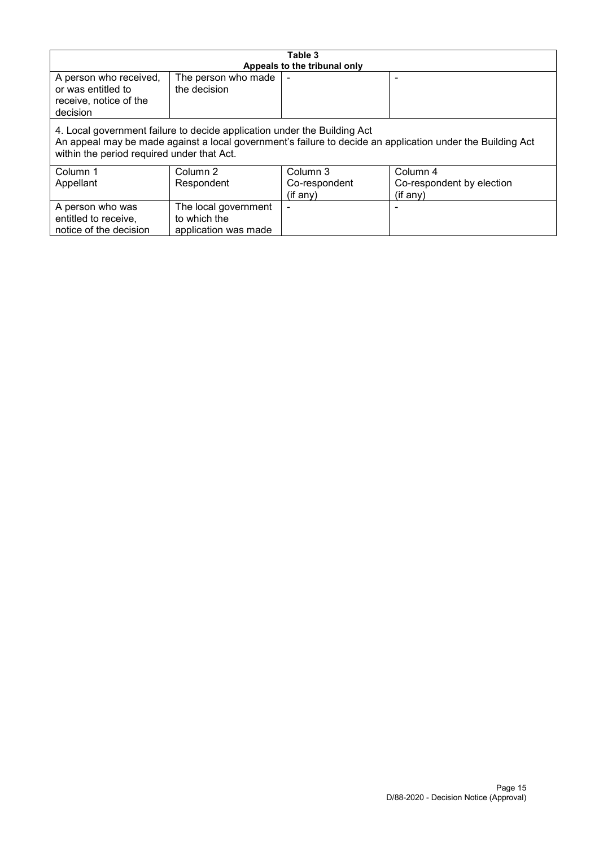| Table 3<br>Appeals to the tribunal only                                                                                                                                                                                              |                                                              |  |  |  |
|--------------------------------------------------------------------------------------------------------------------------------------------------------------------------------------------------------------------------------------|--------------------------------------------------------------|--|--|--|
| A person who received,<br>or was entitled to<br>receive, notice of the<br>decision                                                                                                                                                   | The person who made<br>the decision                          |  |  |  |
| 4. Local government failure to decide application under the Building Act<br>An appeal may be made against a local government's failure to decide an application under the Building Act<br>within the period required under that Act. |                                                              |  |  |  |
| Column 2<br>Column 3<br>Column 4<br>Column 1<br>Respondent<br>Co-respondent<br>Co-respondent by election<br>Appellant<br>(if any)<br>(if any)                                                                                        |                                                              |  |  |  |
| A person who was<br>entitled to receive,<br>notice of the decision                                                                                                                                                                   | The local government<br>to which the<br>application was made |  |  |  |